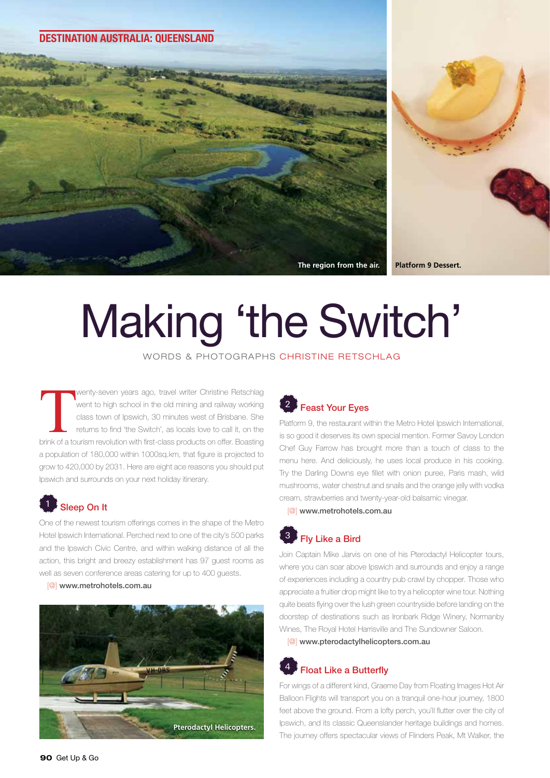#### **DESTINATION AUSTRALIA: QUEENSLAND**



# Making 'the Switch'

WORDS & PHOTOGRAPHS CHRISTINE RETSCHLAG

**The Contract of America**<br>Sprink of a to wenty-seven years ago, travel writer Christine Retschlag went to high school in the old mining and railway working class town of Ipswich, 30 minutes west of Brisbane. She returns to find 'the Switch', as locals love to call it, on the brink of a tourism revolution with first-class products on offer. Boasting a population of 180,000 within 1000sq.km, that figure is projected to grow to 420,000 by 2031. Here are eight ace reasons you should put Ipswich and surrounds on your next holiday itinerary.

# Sleep On It

One of the newest tourism offerings comes in the shape of the Metro Hotel Ipswich International. Perched next to one of the city's 500 parks and the Ipswich Civic Centre, and within walking distance of all the action, this bright and breezy establishment has 97 guest rooms as well as seven conference areas catering for up to 400 guests.

[@] www.metrohotels.com.au



## **Feast Your Eves**

Platform 9, the restaurant within the Metro Hotel Ipswich International, is so good it deserves its own special mention. Former Savoy London Chef Guy Farrow has brought more than a touch of class to the menu here. And deliciously, he uses local produce in his cooking. Try the Darling Downs eye fillet with onion puree, Paris mash, wild mushrooms, water chestnut and snails and the orange jelly with vodka cream, strawberries and twenty-year-old balsamic vinegar.

[@] www.metrohotels.com.au

# 3 Fly Like a Bird

Join Captain Mike Jarvis on one of his Pterodactyl Helicopter tours, where you can soar above Ipswich and surrounds and enjoy a range of experiences including a country pub crawl by chopper. Those who appreciate a fruitier drop might like to try a helicopter wine tour. Nothing quite beats flying over the lush green countryside before landing on the doorstep of destinations such as Ironbark Ridge Winery, Normanby Wines, The Royal Hotel Harrisville and The Sundowner Saloon.

[@] www.pterodactylhelicopters.com.au

## **Float Like a Butterfly**

For wings of a different kind, Graeme Day from Floating Images Hot Air Balloon Flights will transport you on a tranquil one-hour journey, 1800 feet above the ground. From a lofty perch, you'll flutter over the city of Ipswich, and its classic Queenslander heritage buildings and homes. The journey offers spectacular views of Flinders Peak, Mt Walker, the